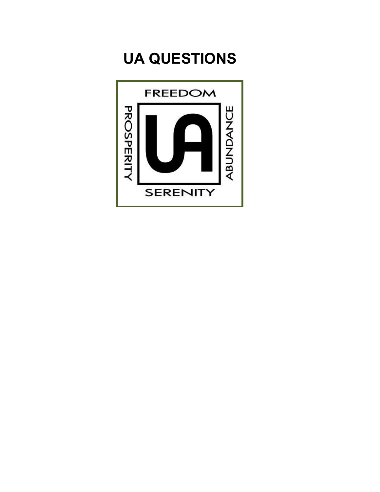# **UA QUESTIONS**

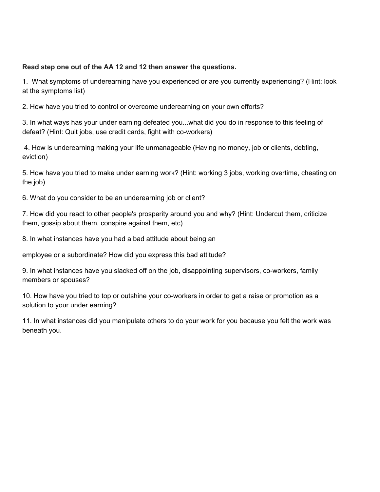#### **Read step one out of the AA 12 and 12 then answer the questions.**

1. What symptoms of underearning have you experienced or are you currently experiencing? (Hint: look at the symptoms list)

2. How have you tried to control or overcome underearning on your own efforts?

3. In what ways has your under earning defeated you...what did you do in response to this feeling of defeat? (Hint: Quit jobs, use credit cards, fight with co-workers)

4. How is underearning making your life unmanageable (Having no money, job or clients, debting, eviction)

5. How have you tried to make under earning work? (Hint: working 3 jobs, working overtime, cheating on the job)

6. What do you consider to be an underearning job or client?

7. How did you react to other people's prosperity around you and why? (Hint: Undercut them, criticize them, gossip about them, conspire against them, etc)

8. In what instances have you had a bad attitude about being an

employee or a subordinate? How did you express this bad attitude?

9. In what instances have you slacked off on the job, disappointing supervisors, co-workers, family members or spouses?

10. How have you tried to top or outshine your co-workers in order to get a raise or promotion as a solution to your under earning?

11. In what instances did you manipulate others to do your work for you because you felt the work was beneath you.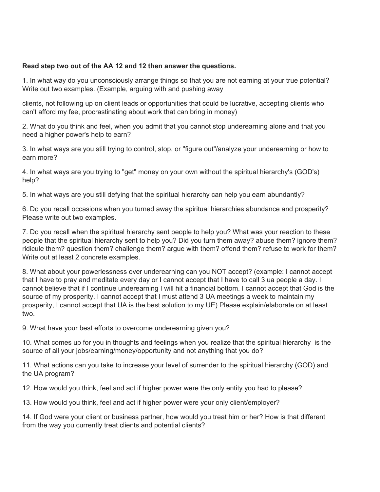#### **Read step two out of the AA 12 and 12 then answer the questions.**

1. In what way do you unconsciously arrange things so that you are not earning at your true potential? Write out two examples. (Example, arguing with and pushing away

clients, not following up on client leads or opportunities that could be lucrative, accepting clients who can't afford my fee, procrastinating about work that can bring in money)

2. What do you think and feel, when you admit that you cannot stop underearning alone and that you need a higher power's help to earn?

3. In what ways are you still trying to control, stop, or "figure out"/analyze your underearning or how to earn more?

4. In what ways are you trying to "get" money on your own without the spiritual hierarchy's (GOD's) help?

5. In what ways are you still defying that the spiritual hierarchy can help you earn abundantly?

6. Do you recall occasions when you turned away the spiritual hierarchies abundance and prosperity? Please write out two examples.

7. Do you recall when the spiritual hierarchy sent people to help you? What was your reaction to these people that the spiritual hierarchy sent to help you? Did you turn them away? abuse them? ignore them? ridicule them? question them? challenge them? argue with them? offend them? refuse to work for them? Write out at least 2 concrete examples.

8. What about your powerlessness over underearning can you NOT accept? (example: I cannot accept that I have to pray and meditate every day or I cannot accept that I have to call 3 ua people a day. I cannot believe that if I continue underearning I will hit a financial bottom. I cannot accept that God is the source of my prosperity. I cannot accept that I must attend 3 UA meetings a week to maintain my prosperity, I cannot accept that UA is the best solution to my UE) Please explain/elaborate on at least two.

9. What have your best efforts to overcome underearning given you?

10. What comes up for you in thoughts and feelings when you realize that the spiritual hierarchy is the source of all your jobs/earning/money/opportunity and not anything that you do?

11. What actions can you take to increase your level of surrender to the spiritual hierarchy (GOD) and the UA program?

12. How would you think, feel and act if higher power were the only entity you had to please?

13. How would you think, feel and act if higher power were your only client/employer?

14. If God were your client or business partner, how would you treat him or her? How is that different from the way you currently treat clients and potential clients?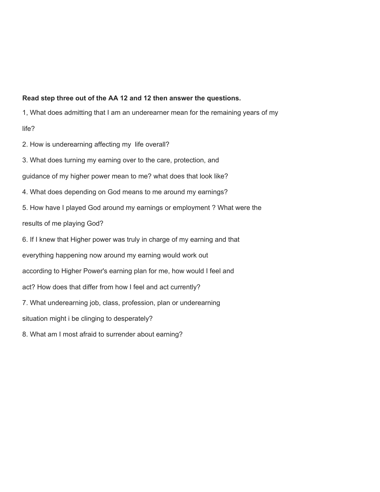#### **Read step three out of the AA 12 and 12 then answer the questions.**

1, What does admitting that I am an underearner mean for the remaining years of my

life?

2. How is underearning affecting my life overall?

3. What does turning my earning over to the care, protection, and

guidance of my higher power mean to me? what does that look like?

4. What does depending on God means to me around my earnings?

5. How have I played God around my earnings or employment ? What were the

results of me playing God?

6. If I knew that Higher power was truly in charge of my earning and that

everything happening now around my earning would work out

according to Higher Power's earning plan for me, how would I feel and

act? How does that differ from how I feel and act currently?

7. What underearning job, class, profession, plan or underearning

situation might i be clinging to desperately?

8. What am I most afraid to surrender about earning?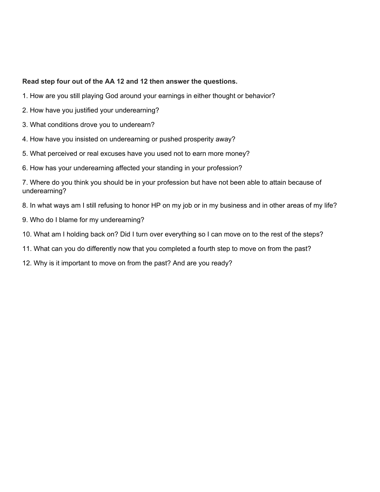#### **Read step four out of the AA 12 and 12 then answer the questions.**

- 1. How are you still playing God around your earnings in either thought or behavior?
- 2. How have you justified your underearning?
- 3. What conditions drove you to underearn?
- 4. How have you insisted on underearning or pushed prosperity away?
- 5. What perceived or real excuses have you used not to earn more money?
- 6. How has your underearning affected your standing in your profession?

7. Where do you think you should be in your profession but have not been able to attain because of underearning?

- 8. In what ways am I still refusing to honor HP on my job or in my business and in other areas of my life?
- 9. Who do I blame for my underearning?
- 10. What am I holding back on? Did I turn over everything so I can move on to the rest of the steps?
- 11. What can you do differently now that you completed a fourth step to move on from the past?
- 12. Why is it important to move on from the past? And are you ready?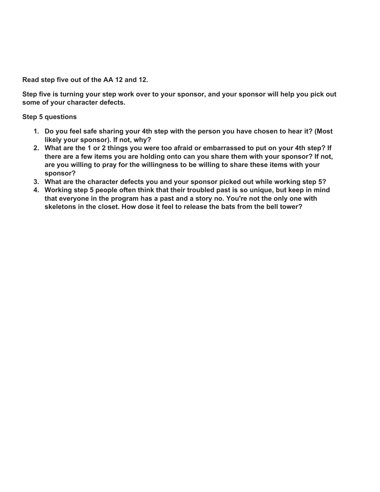**Read step five out of the AA 12 and 12.**

Step five is turning your step work over to your sponsor, and your sponsor will help you pick out **some of your character defects.**

**Step 5 questions**

- **1. Do you feel safe sharing your 4th step with the person you have chosen to hear it? (Most likely your sponsor). If not, why?**
- 2. What are the 1 or 2 things you were too afraid or embarrassed to put on your 4th step? If **there are a few items you are holding onto can you share them with your sponsor? If not, are you willing to pray for the willingness to be willing to share these items with your sponsor?**
- **3. What are the character defects you and your sponsor picked out while working step 5?**
- **4. Working step 5 people often think that their troubled past is so unique, but keep in mind that everyone in the program has a past and a story no. You're not the only one with skeletons in the closet. How dose it feel to release the bats from the bell tower?**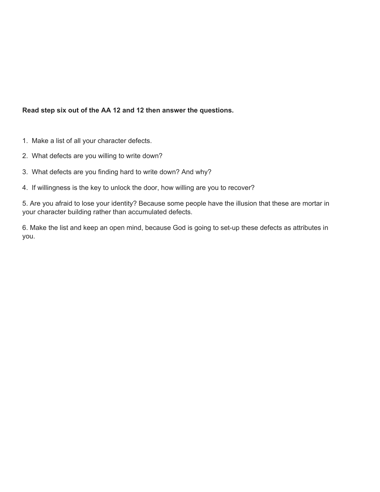# **Read step six out of the AA 12 and 12 then answer the questions.**

- 1. Make a list of all your character defects.
- 2. What defects are you willing to write down?
- 3. What defects are you finding hard to write down? And why?
- 4. If willingness is the key to unlock the door, how willing are you to recover?

5. Are you afraid to lose your identity? Because some people have the illusion that these are mortar in your character building rather than accumulated defects.

6. Make the list and keep an open mind, because God is going to set-up these defects as attributes in you.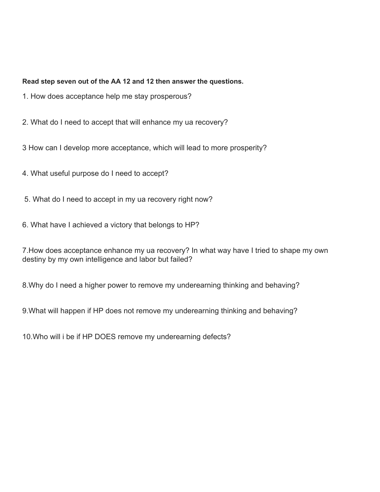## **Read step seven out of the AA 12 and 12 then answer the questions.**

- 1. How does acceptance help me stay prosperous?
- 2. What do I need to accept that will enhance my ua recovery?
- 3 How can I develop more acceptance, which will lead to more prosperity?
- 4. What useful purpose do I need to accept?
- 5. What do I need to accept in my ua recovery right now?
- 6. What have I achieved a victory that belongs to HP?

7.How does acceptance enhance my ua recovery? In what way have I tried to shape my own destiny by my own intelligence and labor but failed?

8.Why do I need a higher power to remove my underearning thinking and behaving?

9.What will happen if HP does not remove my underearning thinking and behaving?

10.Who will i be if HP DOES remove my underearning defects?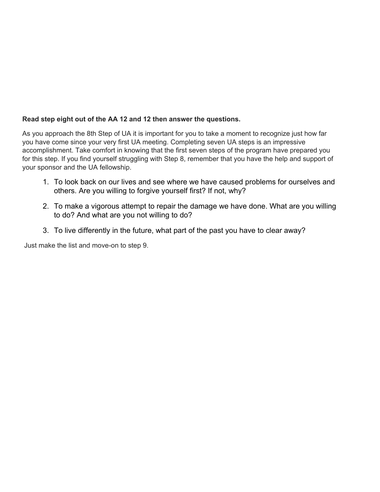# **Read step eight out of the AA 12 and 12 then answer the questions.**

As you approach the 8th Step of UA it is important for you to take a moment to recognize just how far you have come since your very first UA meeting. Completing seven UA steps is an impressive accomplishment. Take comfort in knowing that the first seven steps of the program have prepared you for this step. If you find yourself struggling with Step 8, remember that you have the help and support of your sponsor and the UA fellowship.

- 1. To look back on our lives and see where we have caused problems for ourselves and others. Are you willing to forgive yourself first? If not, why?
- 2. To make a vigorous attempt to repair the damage we have done. What are you willing to do? And what are you not willing to do?
- 3. To live differently in the future, what part of the past you have to clear away?

Just make the list and move-on to step 9.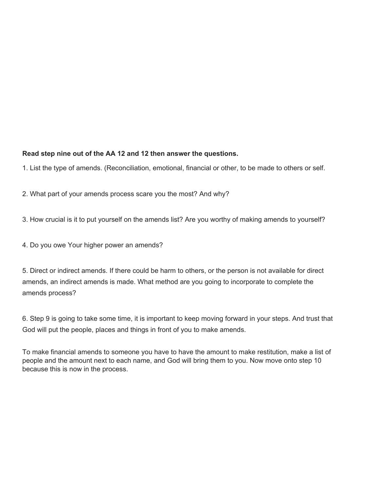**Read step nine out of the AA 12 and 12 then answer the questions.**

1. List the type of amends. (Reconciliation, emotional, financial or other, to be made to others or self.

2. What part of your amends process scare you the most? And why?

3. How crucial is it to put yourself on the amends list? Are you worthy of making amends to yourself?

4. Do you owe Your higher power an amends?

5. Direct or indirect amends. If there could be harm to others, or the person is not available for direct amends, an indirect amends is made. What method are you going to incorporate to complete the amends process?

6. Step 9 is going to take some time, it is important to keep moving forward in your steps. And trust that God will put the people, places and things in front of you to make amends.

To make financial amends to someone you have to have the amount to make restitution, make a list of people and the amount next to each name, and God will bring them to you. Now move onto step 10 because this is now in the process.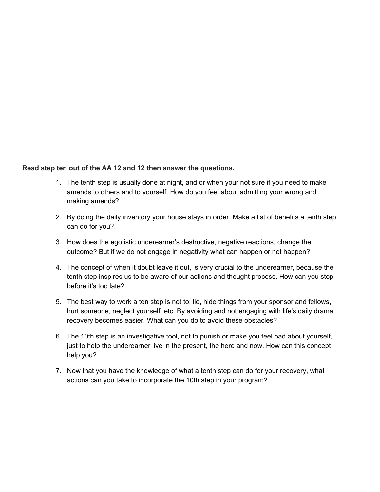#### **Read step ten out of the AA 12 and 12 then answer the questions.**

- 1. The tenth step is usually done at night, and or when your not sure if you need to make amends to others and to yourself. How do you feel about admitting your wrong and making amends?
- 2. By doing the daily inventory your house stays in order. Make a list of benefits a tenth step can do for you?.
- 3. How does the egotistic underearner's destructive, negative reactions, change the outcome? But if we do not engage in negativity what can happen or not happen?
- 4. The concept of when it doubt leave it out, is very crucial to the underearner, because the tenth step inspires us to be aware of our actions and thought process. How can you stop before it's too late?
- 5. The best way to work a ten step is not to: lie, hide things from your sponsor and fellows, hurt someone, neglect yourself, etc. By avoiding and not engaging with life's daily drama recovery becomes easier. What can you do to avoid these obstacles?
- 6. The 10th step is an investigative tool, not to punish or make you feel bad about yourself, just to help the underearner live in the present, the here and now. How can this concept help you?
- 7. Now that you have the knowledge of what a tenth step can do for your recovery, what actions can you take to incorporate the 10th step in your program?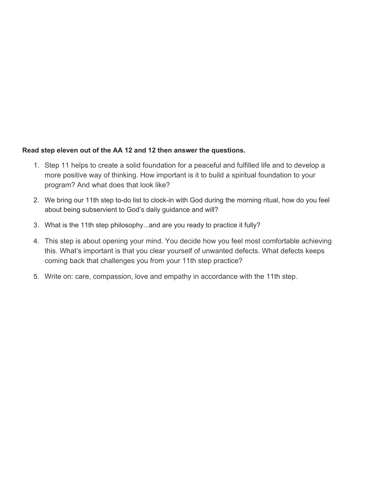## **Read step eleven out of the AA 12 and 12 then answer the questions.**

- 1. Step 11 helps to create a solid foundation for a peaceful and fulfilled life and to develop a more positive way of thinking. How important is it to build a spiritual foundation to your program? And what does that look like?
- 2. We bring our 11th step to-do list to clock-in with God during the morning ritual, how do you feel about being subservient to God's daily guidance and will?
- 3. What is the 11th step philosophy...and are you ready to practice it fully?
- 4. This step is about opening your mind. You decide how you feel most comfortable achieving this. What's important is that you clear yourself of unwanted defects. What defects keeps coming back that challenges you from your 11th step practice?
- 5. Write on: care, compassion, love and empathy in accordance with the 11th step.